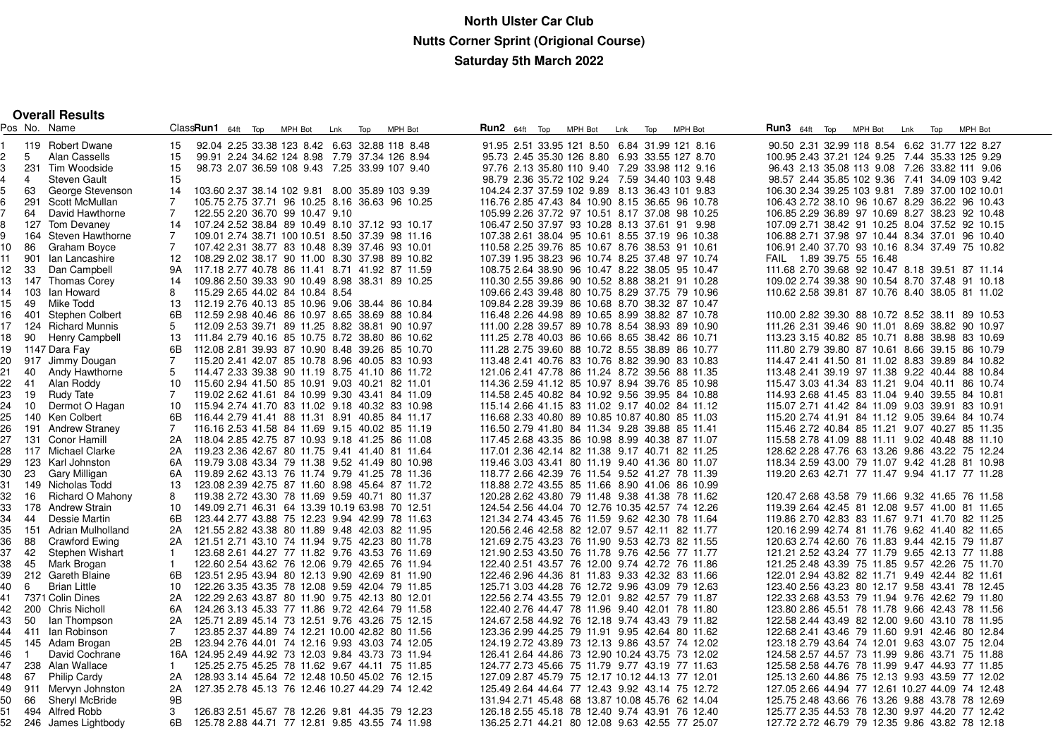**Overall Results**

|                     |                 | Pos No. Name                       |                | ClassRun1 64ft Top                                                                                | MPH Bot | Lnk | Top | MPH Bot | Run2 64ft Top                                                                                    | MPH Bot | Lnk | Top | MPH Bot | <b>Run3</b> 64ft Top |  | MPH Bot                                         | Lnk Top | MPH Bot |  |
|---------------------|-----------------|------------------------------------|----------------|---------------------------------------------------------------------------------------------------|---------|-----|-----|---------|--------------------------------------------------------------------------------------------------|---------|-----|-----|---------|----------------------|--|-------------------------------------------------|---------|---------|--|
|                     |                 | 119 Robert Dwane                   | 15             | 92.04 2.25 33.38 123 8.42 6.63 32.88 118 8.48                                                     |         |     |     |         | 91.95 2.51 33.95 121 8.50 6.84 31.99 121 8.16                                                    |         |     |     |         |                      |  | 90.50 2.31 32.99 118 8.54 6.62 31.77 122 8.27   |         |         |  |
| 5                   |                 | Alan Cassells                      | 15             | 99.91 2.24 34.62 124 8.98 7.79 37.34 126 8.94                                                     |         |     |     |         | 95.73 2.45 35.30 126 8.80 6.93 33.55 127 8.70                                                    |         |     |     |         |                      |  | 100.95 2.43 37.21 124 9.25 7.44 35.33 125 9.29  |         |         |  |
| 3                   |                 | 231 Tim Woodside                   | 15             | 98.73 2.07 36.59 108 9.43 7.25 33.99 107 9.40                                                     |         |     |     |         | 97.76 2.13 35.80 110 9.40 7.29 33.98 112 9.16                                                    |         |     |     |         |                      |  | 96.43 2.13 35.08 113 9.08 7.26 33.82 111 9.06   |         |         |  |
| $\overline{4}$<br>4 |                 | <b>Steven Gault</b>                | 15             |                                                                                                   |         |     |     |         | 98.79 2.36 35.72 102 9.24 7.59 34.40 103 9.48                                                    |         |     |     |         |                      |  | 98.57 2.44 35.85 102 9.36 7.41 34.09 103 9.42   |         |         |  |
| 63                  |                 | George Stevenson                   | 14             | 103.60 2.37 38.14 102 9.81 8.00 35.89 103 9.39                                                    |         |     |     |         | 104.24 2.37 37.59 102 9.89 8.13 36.43 101 9.83                                                   |         |     |     |         |                      |  | 106.30 2.34 39.25 103 9.81 7.89 37.00 102 10.01 |         |         |  |
|                     |                 | 291 Scott McMullan                 | $\overline{7}$ | 105.75 2.75 37.71 96 10.25 8.16 36.63 96 10.25                                                    |         |     |     |         | 116.76 2.85 47.43 84 10.90 8.15 36.65 96 10.78                                                   |         |     |     |         |                      |  | 106.43 2.72 38.10 96 10.67 8.29 36.22 96 10.43  |         |         |  |
|                     | 64              | David Hawthorne                    | $\overline{7}$ | 122.55 2.20 36.70 99 10.47 9.10                                                                   |         |     |     |         | 105.99 2.26 37.72 97 10.51 8.17 37.08 98 10.25                                                   |         |     |     |         |                      |  | 106.85 2.29 36.89 97 10.69 8.27 38.23 92 10.48  |         |         |  |
| 8                   |                 | 127 Tom Devaney                    | 14             | 107.24 2.52 38.84 89 10.49 8.10 37.12 93 10.17                                                    |         |     |     |         | 106.47 2.50 37.97 93 10.28 8.13 37.61 91 9.98                                                    |         |     |     |         |                      |  | 107.09 2.71 38.42 91 10.25 8.04 37.52 92 10.15  |         |         |  |
| 9                   |                 | 164 Steven Hawthorne               | $\overline{7}$ | 109.01 2.74 38.71 100 10.51 8.50 37.39 98 11.16                                                   |         |     |     |         | 107.38 2.61 38.04 95 10.61 8.55 37.19 96 10.38                                                   |         |     |     |         |                      |  | 106.88 2.71 37.98 97 10.44 8.34 37.01 96 10.40  |         |         |  |
| 10                  | 86              | Graham Boyce                       | $\overline{7}$ | 107.42 2.31 38.77 83 10.48 8.39 37.46 93 10.01                                                    |         |     |     |         | 110.58 2.25 39.76 85 10.67 8.76 38.53 91 10.61                                                   |         |     |     |         |                      |  | 106.91 2.40 37.70 93 10.16 8.34 37.49 75 10.82  |         |         |  |
| 11                  |                 | 901 Ian Lancashire                 | 12             | 108.29 2.02 38.17 90 11.00 8.30 37.98 89 10.82                                                    |         |     |     |         | 107.39 1.95 38.23 96 10.74 8.25 37.48 97 10.74                                                   |         |     |     |         |                      |  | FAIL 1.89 39.75 55 16.48                        |         |         |  |
| 12                  | 33              | Dan Campbell                       | 9A             | 117.18 2.77 40.78 86 11.41 8.71 41.92 87 11.59                                                    |         |     |     |         | 108.75 2.64 38.90 96 10.47 8.22 38.05 95 10.47                                                   |         |     |     |         |                      |  | 111.68 2.70 39.68 92 10.47 8.18 39.51 87 11.14  |         |         |  |
| 13                  |                 | 147 Thomas Corey                   | 14             | 109.86 2.50 39.33 90 10.49 8.98 38.31 89 10.25                                                    |         |     |     |         | 110.30 2.55 39.86 90 10.52 8.88 38.21 91 10.28                                                   |         |     |     |         |                      |  | 109.02 2.74 39.38 90 10.54 8.70 37.48 91 10.18  |         |         |  |
| 14                  |                 | 103 Ian Howard                     | 8              | 115.29 2.65 44.02 84 10.84 8.54                                                                   |         |     |     |         | 109.66 2.43 39.48 80 10.75 8.29 37.75 79 10.96                                                   |         |     |     |         |                      |  | 110.62 2.58 39.81 87 10.76 8.40 38.05 81 11.02  |         |         |  |
| 15<br>49            |                 | Mike Todd                          | 13             | 112.19 2.76 40.13 85 10.96 9.06 38.44 86 10.84                                                    |         |     |     |         | 109.84 2.28 39.39 86 10.68 8.70 38.32 87 10.47                                                   |         |     |     |         |                      |  |                                                 |         |         |  |
| 16                  |                 | 401 Stephen Colbert                | 6B             | 112.59 2.98 40.46 86 10.97 8.65 38.69 88 10.84                                                    |         |     |     |         | 116.48 2.26 44.98 89 10.65 8.99 38.82 87 10.78                                                   |         |     |     |         |                      |  | 110.00 2.82 39.30 88 10.72 8.52 38.11 89 10.53  |         |         |  |
| 17                  |                 | 124 Richard Munnis                 | 5              | 112.09 2.53 39.71 89 11.25 8.82 38.81 90 10.97                                                    |         |     |     |         | 111.00 2.28 39.57 89 10.78 8.54 38.93 89 10.90                                                   |         |     |     |         |                      |  | 111.26 2.31 39.46 90 11.01 8.69 38.82 90 10.97  |         |         |  |
| 18<br>90            |                 | Henry Campbell                     | 13             | 111.84 2.79 40.16 85 10.75 8.72 38.80 86 10.62                                                    |         |     |     |         | 111.25 2.78 40.03 86 10.66 8.65 38.42 86 10.71                                                   |         |     |     |         |                      |  | 113.23 3.15 40.82 85 10.71 8.88 38.98 83 10.69  |         |         |  |
| 19                  |                 | 1147 Dara Fay                      | 6B             | 112.08 2.81 39.93 87 10.90 8.48 39.26 85 10.70                                                    |         |     |     |         | 111.28 2.75 39.60 88 10.72 8.55 38.89 86 10.77                                                   |         |     |     |         |                      |  | 111.80 2.79 39.80 87 10.61 8.66 39.15 86 10.79  |         |         |  |
| 20                  |                 | 917 Jimmy Dougan                   | $\overline{7}$ | 115.20 2.41 42.07 85 10.78 8.96 40.05 83 10.93                                                    |         |     |     |         | 113.48 2.41 40.76 83 10.76 8.82 39.90 83 10.83                                                   |         |     |     |         |                      |  | 114.47 2.41 41.50 81 11.02 8.83 39.89 84 10.82  |         |         |  |
| 21<br>40            |                 | Andy Hawthorne                     | 5              | 114.47 2.33 39.38 90 11.19 8.75 41.10 86 11.72                                                    |         |     |     |         | 121.06 2.41 47.78 86 11.24 8.72 39.56 88 11.35                                                   |         |     |     |         |                      |  | 113.48 2.41 39.19 97 11.38 9.22 40.44 88 10.84  |         |         |  |
| 22<br>41            |                 | Alan Roddy                         | 10             | 115.60 2.94 41.50 85 10.91 9.03 40.21 82 11.01                                                    |         |     |     |         | 114.36 2.59 41.12 85 10.97 8.94 39.76 85 10.98                                                   |         |     |     |         |                      |  | 115.47 3.03 41.34 83 11.21 9.04 40.11 86 10.74  |         |         |  |
| 23<br>19            |                 | Rudy Tate                          | $\overline{7}$ | 119.02 2.62 41.61 84 10.99 9.30 43.41 84 11.09                                                    |         |     |     |         | 114.58 2.45 40.82 84 10.92 9.56 39.95 84 10.88                                                   |         |     |     |         |                      |  | 114.93 2.68 41.45 83 11.04 9.40 39.55 84 10.81  |         |         |  |
| 24                  | 10 <sup>°</sup> | Dermot O Hagan                     | 10             | 115.94 2.74 41.70 83 11.02 9.18 40.32 83 10.98                                                    |         |     |     |         | 115.14 2.66 41.15 83 11.02 9.17 40.02 84 11.12                                                   |         |     |     |         |                      |  | 115.07 2.71 41.42 84 11.09 9.03 39.91 83 10.91  |         |         |  |
| 25                  |                 | 140 Ken Colbert                    | 6B             | 116.44 2.79 41.41 88 11.31 8.91 40.85 84 11.17                                                    |         |     |     |         | 116.68 2.33 40.80 89 10.85 10.87 40.80 85 11.03                                                  |         |     |     |         |                      |  | 115.20 2.74 41.91 84 11.12 9.05 39.64 84 10.74  |         |         |  |
| 26                  |                 | 191 Andrew Straney                 | $\overline{7}$ |                                                                                                   |         |     |     |         |                                                                                                  |         |     |     |         |                      |  | 115.46 2.72 40.84 85 11.21 9.07 40.27 85 11.35  |         |         |  |
| 27                  |                 | 131 Conor Hamill                   |                | 116.16 2.53 41.58 84 11.69 9.15 40.02 85 11.19<br>118.04 2.85 42.75 87 10.93 9.18 41.25 86 11.08  |         |     |     |         | 116.50 2.79 41.80 84 11.34 9.28 39.88 85 11.41<br>117.45 2.68 43.35 86 10.98 8.99 40.38 87 11.07 |         |     |     |         |                      |  | 115.58 2.78 41.09 88 11.11 9.02 40.48 88 11.10  |         |         |  |
|                     |                 | 117 Michael Clarke                 | 2A<br>2A       | 119.23 2.36 42.67 80 11.75 9.41 41.40 81 11.64                                                    |         |     |     |         |                                                                                                  |         |     |     |         |                      |  | 128.62 2.28 47.76 63 13.26 9.86 43.22 75 12.24  |         |         |  |
| 28<br>29            |                 | 123 Karl Johnston                  | 6A             | 119.79 3.08 43.34 79 11.38 9.52 41.49 80 10.98                                                    |         |     |     |         | 117.01 2.36 42.14 82 11.38 9.17 40.71 82 11.25<br>119.46 3.03 43.41 80 11.19 9.40 41.36 80 11.07 |         |     |     |         |                      |  | 118.34 2.59 43.00 79 11.07 9.42 41.28 81 10.98  |         |         |  |
|                     |                 |                                    |                |                                                                                                   |         |     |     |         |                                                                                                  |         |     |     |         |                      |  |                                                 |         |         |  |
| 30                  | 23              | Gary Milligan                      | 6A             | 119.89 2.62 43.13 76 11.74 9.79 41.25 78 11.36                                                    |         |     |     |         | 118.77 2.66 42.39 76 11.54 9.52 41.27 78 11.39                                                   |         |     |     |         |                      |  | 119.20 2.63 42.71 77 11.47 9.94 41.17 77 11.28  |         |         |  |
| 31                  |                 | 149 Nicholas Todd                  | 13             | 123.08 2.39 42.75 87 11.60 8.98 45.64 87 11.72                                                    |         |     |     |         | 118.88 2.72 43.55 85 11.66 8.90 41.06 86 10.99                                                   |         |     |     |         |                      |  |                                                 |         |         |  |
| 32<br>33            | 16              | Richard O Mahony                   | 8<br>10        | 119.38 2.72 43.30 78 11.69 9.59 40.71 80 11.37<br>149.09 2.71 46.31 64 13.39 10.19 63.98 70 12.51 |         |     |     |         | 120.28 2.62 43.80 79 11.48 9.38 41.38 78 11.62                                                   |         |     |     |         |                      |  | 120.47 2.68 43.58 79 11.66 9.32 41.65 76 11.58  |         |         |  |
|                     |                 | 178 Andrew Strain<br>Dessie Martin | 6B             |                                                                                                   |         |     |     |         | 124.54 2.56 44.04 70 12.76 10.35 42.57 74 12.26                                                  |         |     |     |         |                      |  | 119.39 2.64 42.45 81 12.08 9.57 41.00 81 11.65  |         |         |  |
| 34<br>44<br>35      |                 |                                    |                | 123.44 2.77 43.88 75 12.23 9.94 42.99 78 11.63                                                    |         |     |     |         | 121.34 2.74 43.45 76 11.59 9.62 42.30 78 11.64                                                   |         |     |     |         |                      |  | 119.86 2.70 42.83 83 11.67 9.71 41.70 82 11.25  |         |         |  |
|                     |                 | 151 Adrian Mulholland              | 2A             | 121.55 2.82 43.38 80 11.89 9.48 42.03 82 11.95                                                    |         |     |     |         | 120.56 2.46 42.58 82 12.07 9.57 42.11 82 11.77                                                   |         |     |     |         |                      |  | 120.16 2.99 42.74 81 11.76 9.62 41.40 82 11.65  |         |         |  |
| 88<br>36            |                 | Crawford Ewing                     | 2A             | 121.51 2.71 43.10 74 11.94 9.75 42.23 80 11.78                                                    |         |     |     |         | 121.69 2.75 43.23 76 11.90 9.53 42.73 82 11.55                                                   |         |     |     |         |                      |  | 120.63 2.74 42.60 76 11.83 9.44 42.15 79 11.87  |         |         |  |
| 37                  | 42              | Stephen Wishart                    | $\mathbf{1}$   | 123.68 2.61 44.27 77 11.82 9.76 43.53 76 11.69                                                    |         |     |     |         | 121.90 2.53 43.50 76 11.78 9.76 42.56 77 11.77                                                   |         |     |     |         |                      |  | 121.21 2.52 43.24 77 11.79 9.65 42.13 77 11.88  |         |         |  |
| 45<br>38            |                 | Mark Brogan                        | $\mathbf{1}$   | 122.60 2.54 43.62 76 12.06 9.79 42.65 76 11.94                                                    |         |     |     |         | 122.40 2.51 43.57 76 12.00 9.74 42.72 76 11.86                                                   |         |     |     |         |                      |  | 121.25 2.48 43.39 75 11.85 9.57 42.26 75 11.70  |         |         |  |
| 39                  |                 | 212 Gareth Blaine                  | 6B             | 123.51 2.95 43.94 80 12.13 9.90 42.69 81 11.90                                                    |         |     |     |         | 122.46 2.96 44.36 81 11.83 9.33 42.32 83 11.66                                                   |         |     |     |         |                      |  | 122.01 2.94 43.82 82 11.71 9.49 42.44 82 11.61  |         |         |  |
| 6<br>40             |                 | <b>Brian Little</b>                | 10             | 122.26 3.35 43.35 78 12.08 9.59 42.04 79 11.85                                                    |         |     |     |         | 125.71 3.03 44.28 76 12.72 9.96 43.09 79 12.63                                                   |         |     |     |         |                      |  | 123.40 2.56 43.23 80 12.17 9.58 43.41 78 12.45  |         |         |  |
| 41                  |                 | 7371 Colin Dines                   | 2A             | 122.29 2.63 43.87 80 11.90 9.75 42.13 80 12.01                                                    |         |     |     |         | 122.56 2.74 43.55 79 12.01 9.82 42.57 79 11.87                                                   |         |     |     |         |                      |  | 122.33 2.68 43.53 79 11.94 9.76 42.62 79 11.80  |         |         |  |
| 42                  |                 | 200 Chris Nicholl                  | 6A             | 124.26 3.13 45.33 77 11.86 9.72 42.64 79 11.58                                                    |         |     |     |         | 122.40 2.76 44.47 78 11.96 9.40 42.01 78 11.80                                                   |         |     |     |         |                      |  | 123.80 2.86 45.51 78 11.78 9.66 42.43 78 11.56  |         |         |  |
| 43.                 | 50              | lan Thompson                       | 2A             | 125.71 2.89 45.14 73 12.51 9.76 43.26 75 12.15                                                    |         |     |     |         | 124.67 2.58 44.92 76 12.18 9.74 43.43 79 11.82                                                   |         |     |     |         |                      |  | 122.58 2.44 43.49 82 12.00 9.60 43.10 78 11.95  |         |         |  |
| 44                  |                 | 411 Ian Robinson                   | $\overline{7}$ | 123.85 2.37 44.89 74 12.21 10.00 42.82 80 11.56                                                   |         |     |     |         | 123.36 2.99 44.25 79 11.91 9.95 42.64 80 11.62                                                   |         |     |     |         |                      |  | 122.68 2.41 43.46 79 11.60 9.91 42.46 80 12.84  |         |         |  |
| 45                  |                 | 145 Adam Brogan                    | 2В             | 123.94 2.76 44.01 74 12.16 9.93 43.03 74 12.05                                                    |         |     |     |         | 124.19 2.72 43.89 73 12.13 9.86 43.57 74 12.02                                                   |         |     |     |         |                      |  | 123.18 2.79 43.64 74 12.01 9.63 43.07 75 12.04  |         |         |  |
| $\mathbf{1}$<br>46. |                 | David Cochrane                     |                | 16A 124.95 2.49 44.92 73 12.03 9.84 43.73 73 11.94                                                |         |     |     |         | 126.41 2.64 44.86 73 12.90 10.24 43.75 73 12.02                                                  |         |     |     |         |                      |  | 124.58 2.57 44.57 73 11.99 9.86 43.71 75 11.88  |         |         |  |
| 47                  |                 | 238 Alan Wallace                   | $\mathbf{1}$   | 125.25 2.75 45.25 78 11.62 9.67 44.11 75 11.85                                                    |         |     |     |         | 124.77 2.73 45.66 75 11.79 9.77 43.19 77 11.63                                                   |         |     |     |         |                      |  | 125.58 2.58 44.76 78 11.99 9.47 44.93 77 11.85  |         |         |  |
| 67<br>48.           |                 | <b>Philip Cardy</b>                | 2A             | 128.93 3.14 45.64 72 12.48 10.50 45.02 76 12.15                                                   |         |     |     |         | 127.09 2.87 45.79 75 12.17 10.12 44.13 77 12.01                                                  |         |     |     |         |                      |  | 125.13 2.60 44.86 75 12.13 9.93 43.59 77 12.02  |         |         |  |
| 49                  |                 | 911 Mervyn Johnston                | 2A             | 127.35 2.78 45.13 76 12.46 10.27 44.29 74 12.42                                                   |         |     |     |         | 125.49 2.64 44.64 77 12.43 9.92 43.14 75 12.72                                                   |         |     |     |         |                      |  | 127.05 2.66 44.94 77 12.61 10.27 44.09 74 12.48 |         |         |  |
| 50                  | 66              | <b>Sheryl McBride</b>              | 9B             |                                                                                                   |         |     |     |         | 131.94 2.71 45.48 68 13.87 10.08 45.76 62 14.04                                                  |         |     |     |         |                      |  | 125.75 2.48 43.66 76 13.26 9.88 43.78 78 12.69  |         |         |  |
| 51                  |                 | 494 Alfred Robb                    | 3              | 126.83 2.51 45.67 78 12.26 9.81 44.35 79 12.23                                                    |         |     |     |         | 126.18 2.55 45.18 78 12.40 9.74 43.91 76 12.40                                                   |         |     |     |         |                      |  | 125.77 2.35 44.53 78 12.30 9.97 44.20 77 12.42  |         |         |  |
| 52                  |                 | 246 James Lightbody                | 6B             | 125.78 2.88 44.71 77 12.81 9.85 43.55 74 11.98                                                    |         |     |     |         | 136.25 2.71 44.21 80 12.08 9.63 42.55 77 25.07                                                   |         |     |     |         |                      |  | 127.72 2.72 46.79 79 12.35 9.86 43.82 78 12.18  |         |         |  |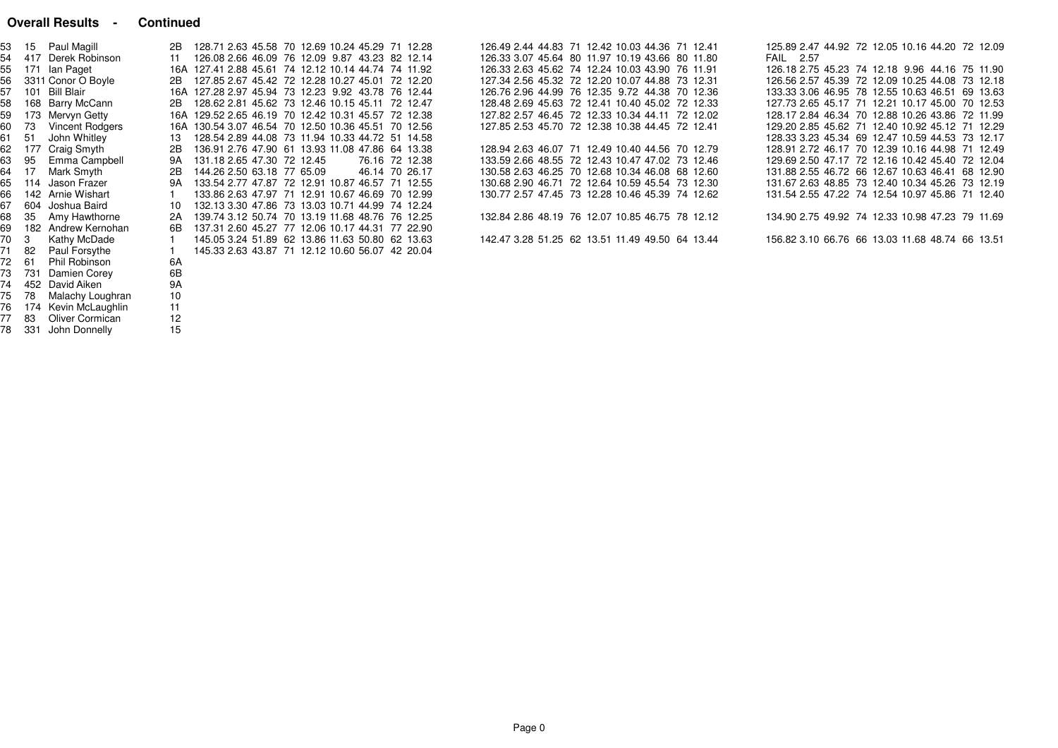#### **Overall Results - Continued**

75 78 Malachy Loughran 10

76 174 Kevin McLaughlin 1177 83 Oliver Cormican <sup>12</sup>78 331 John Donnelly 15

 $11$ 

| 53          | Paul Magill<br>15             | 2B        | 128.71 2.63 45.58 70 12.69 10.24 45.29 71 12.28     |                | 126.49 2.44 44.83 71 12.42 10.03 44.36 71 12.41 |  | 125.89 2.47 44.92 72 12.05 10.16 44.20 72 12.09 |  |
|-------------|-------------------------------|-----------|-----------------------------------------------------|----------------|-------------------------------------------------|--|-------------------------------------------------|--|
| 54          | 417 Derek Robinson            | 11        | 126.08 2.66 46.09 76 12.09 9.87 43.23 82 12.14      |                | 126.33 3.07 45.64 80 11.97 10.19 43.66 80 11.80 |  | <b>FAIL</b> 2.57                                |  |
| 55          | 171 Ian Paget                 |           | 16A 127.41 2.88 45.61 74 12.12 10.14 44.74 74 11.92 |                | 126.33 2.63 45.62 74 12.24 10.03 43.90 76 11.91 |  | 126.18 2.75 45.23 74 12.18 9.96 44.16 75 11.90  |  |
| 56          | 3311 Conor O Boyle            | 2B        | 127.85 2.67 45.42 72 12.28 10.27 45.01 72 12.20     |                | 127.34 2.56 45.32 72 12.20 10.07 44.88 73 12.31 |  | 126.56 2.57 45.39 72 12.09 10.25 44.08 73 12.18 |  |
| 57          | 101 Bill Blair                |           | 16A 127.28 2.97 45.94 73 12.23 9.92 43.78 76 12.44  |                | 126.76 2.96 44.99 76 12.35 9.72 44.38 70 12.36  |  | 133.33 3.06 46.95 78 12.55 10.63 46.51 69 13.63 |  |
| 58          | 168 Barry McCann              | 2B        | 128.62 2.81 45.62 73 12.46 10.15 45.11 72 12.47     |                | 128.48 2.69 45.63 72 12.41 10.40 45.02 72 12.33 |  | 127.73 2.65 45.17 71 12.21 10.17 45.00 70 12.53 |  |
| 59          | 173 Mervyn Getty              |           | 16A 129.52 2.65 46.19 70 12.42 10.31 45.57 72 12.38 |                | 127.82 2.57 46.45 72 12.33 10.34 44.11 72 12.02 |  | 128.17 2.84 46.34 70 12.88 10.26 43.86 72 11.99 |  |
| 60          | <b>Vincent Rodgers</b><br>-73 |           | 16A 130.54 3.07 46.54 70 12.50 10.36 45.51 70 12.56 |                | 127.85 2.53 45.70 72 12.38 10.38 44.45 72 12.41 |  | 129.20 2.85 45.62 71 12.40 10.92 45.12 71 12.29 |  |
| 61          | John Whitley<br>-51           | 13        | 128.54 2.89 44.08 73 11.94 10.33 44.72 51 14.58     |                |                                                 |  | 128.33 3.23 45.34 69 12.47 10.59 44.53 73 12.17 |  |
| 62          | Craig Smyth<br>177            | 2B        | 136.91 2.76 47.90 61 13.93 11.08 47.86 64 13.38     |                | 128.94 2.63 46.07 71 12.49 10.40 44.56 70 12.79 |  | 128.91 2.72 46.17 70 12.39 10.16 44.98 71 12.49 |  |
| 63          | Emma Campbell<br>95           | 9A        | 131.18 2.65 47.30 72 12.45                          | 76.16 72 12.38 | 133.59 2.66 48.55 72 12.43 10.47 47.02 73 12.46 |  | 129.69 2.50 47.17 72 12.16 10.42 45.40 72 12.04 |  |
| 64          | Mark Smyth<br>-17             | 2B        | 144.26 2.50 63.18 77 65.09                          | 46.14 70 26.17 | 130.58 2.63 46.25 70 12.68 10.34 46.08 68 12.60 |  | 131.88 2.55 46.72 66 12.67 10.63 46.41 68 12.90 |  |
| 65          | 114 Jason Frazer              | 9A        | 133.54 2.77 47.87 72 12.91 10.87 46.57 71 12.55     |                | 130.68 2.90 46.71 72 12.64 10.59 45.54 73 12.30 |  | 131.67 2.63 48.85 73 12.40 10.34 45.26 73 12.19 |  |
| 66          | 142 Arnie Wishart             |           | 133.86 2.63 47.97 71 12.91 10.67 46.69 70 12.99     |                | 130.77 2.57 47.45 73 12.28 10.46 45.39 74 12.62 |  | 131.54 2.55 47.22 74 12.54 10.97 45.86 71 12.40 |  |
| 67          | 604 Joshua Baird              | 10        | 132.13 3.30 47.86 73 13.03 10.71 44.99 74 12.24     |                |                                                 |  |                                                 |  |
| 68          | Amy Hawthorne<br>35           | 2A        | 139.74 3.12 50.74 70 13.19 11.68 48.76 76 12.25     |                | 132.84 2.86 48.19 76 12.07 10.85 46.75 78 12.12 |  | 134.90 2.75 49.92 74 12.33 10.98 47.23 79 11.69 |  |
| 69          | 182 Andrew Kernohan           | 6B        | 137.31 2.60 45.27 77 12.06 10.17 44.31 77 22.90     |                |                                                 |  |                                                 |  |
| 170         | Kathy McDade<br>3             |           | 145.05 3.24 51.89 62 13.86 11.63 50.80 62 13.63     |                | 142.47 3.28 51.25 62 13.51 11.49 49.50 64 13.44 |  | 156.82 3.10 66.76 66 13.03 11.68 48.74 66 13.51 |  |
| 71          | 82<br>Paul Forsythe           |           | 145.33 2.63 43.87 71 12.12 10.60 56.07 42 20.04     |                |                                                 |  |                                                 |  |
| 72          | Phil Robinson<br>-61          | 6A        |                                                     |                |                                                 |  |                                                 |  |
| <b>1</b> 73 | 731 Damien Corey              | 6B        |                                                     |                |                                                 |  |                                                 |  |
| 74          | 452 David Aiken               | <b>9A</b> |                                                     |                |                                                 |  |                                                 |  |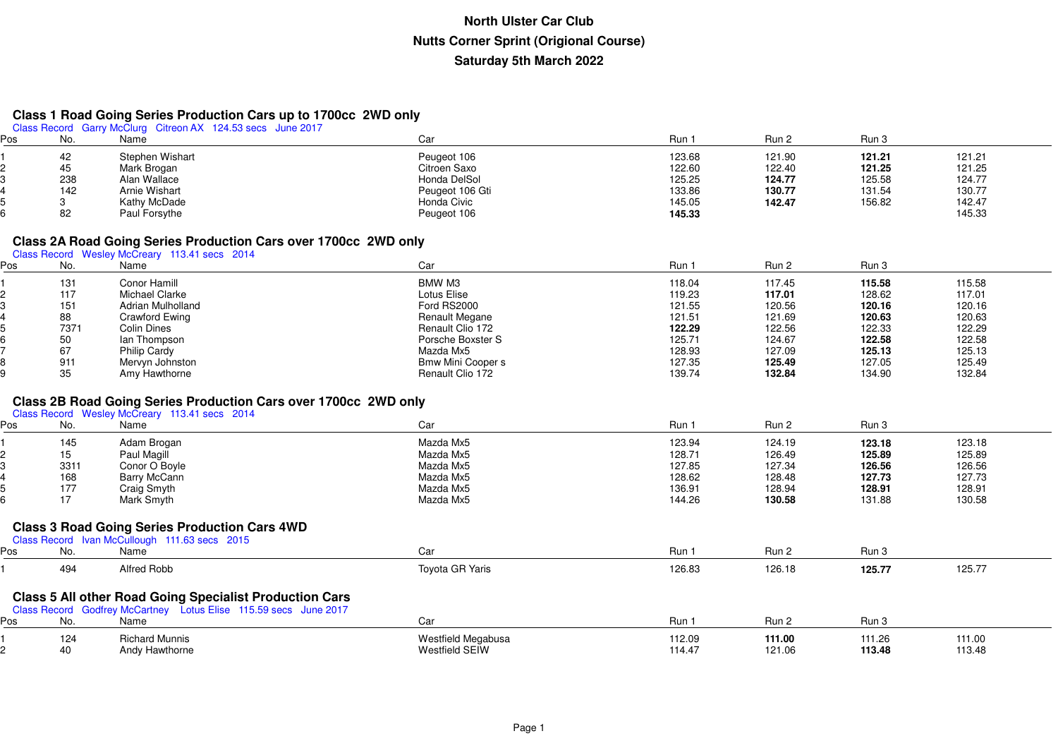# **Class 1 Road Going Series Production Cars up to 1700cc 2WD only** Class Record Garry McClurg Citreon AX 124.53 secs June 2017

| Pos | No. | Name            | Car             | Run    | Run <sub>2</sub> | Run 3  |        |
|-----|-----|-----------------|-----------------|--------|------------------|--------|--------|
|     | 42  | Stephen Wishart | Peugeot 106     | 123.68 | 121.90           | 121.21 | 121.21 |
|     | 45  | Mark Brogan     | Citroen Saxo    | 122.60 | 122.40           | 121.25 | 121.25 |
|     | 238 | Alan Wallace    | Honda DelSol    | 125.25 | 124.77           | 125.58 | 124.77 |
|     | 142 | Arnie Wishart   | Peugeot 106 Gti | 133.86 | 130.77           | 131.54 | 130.77 |
|     |     | Kathy McDade    | Honda Civic     | 145.05 | 142.47           | 156.82 | 142.47 |
|     | 82  | Paul Forsythe   | Peugeot 106     | 145.33 |                  |        | 145.33 |

#### **Class 2A Road Going Series Production Cars over 1700cc 2WD only**

Class Record Wesley McCreary 113.41 secs 2014

| os | No.  | Name                     | Car                      | Run    | Run 2  | Run 3  |        |
|----|------|--------------------------|--------------------------|--------|--------|--------|--------|
|    | 131  | Conor Hamill             | BMW M3                   | 118.04 | 117.45 | 115.58 | 115.58 |
|    | 117  | Michael Clarke           | Lotus Elise              | 119.23 | 117.01 | 128.62 | 117.01 |
|    | 151  | <b>Adrian Mulholland</b> | Ford RS2000              | 121.55 | 120.56 | 120.16 | 120.16 |
|    | 88   | Crawford Ewing           | Renault Megane           | 121.51 | 121.69 | 120.63 | 120.63 |
|    | 7371 | Colin Dines              | Renault Clio 172         | 122.29 | 122.56 | 122.33 | 122.29 |
|    | 50   | lan Thompson             | Porsche Boxster S        | 125.71 | 124.67 | 122.58 | 122.58 |
|    | 67   | Philip Cardy             | Mazda Mx5                | 128.93 | 127.09 | 125.13 | 125.13 |
|    | 911  | Mervyn Johnston          | <b>Bmw Mini Cooper s</b> | 127.35 | 125.49 | 127.05 | 125.49 |
|    | 35   | Amy Hawthorne            | Renault Clio 172         | 139.74 | 132.84 | 134.90 | 132.84 |

# **Class 2B Road Going Series Production Cars over 1700cc 2WD only** Class Record Wesley McCreary 113.41 secs 2014

| Pos | No.  | Name                                                 | Car       | Run 1  | Run 2  | Run 3  |        |
|-----|------|------------------------------------------------------|-----------|--------|--------|--------|--------|
|     | 145  | Adam Brogan                                          | Mazda Mx5 | 123.94 | 124.19 | 123.18 | 123.18 |
|     | 15   | Paul Magill                                          | Mazda Mx5 | 128.71 | 126.49 | 125.89 | 125.89 |
|     | 3311 | Conor O Boyle                                        | Mazda Mx5 | 127.85 | 127.34 | 126.56 | 126.56 |
|     | 168  | Barry McCann                                         | Mazda Mx5 | 128.62 | 128.48 | 127.73 | 127.73 |
|     | 177  | Craig Smyth                                          | Mazda Mx5 | 136.91 | 128.94 | 128.91 | 128.91 |
|     | 17   | Mark Smyth                                           | Mazda Mx5 | 144.26 | 130.58 | 131.88 | 130.58 |
|     |      | <b>Class 3 Road Going Series Production Cars 4WD</b> |           |        |        |        |        |
|     |      | Class Record Ivan McCullough 111.63 secs 2015        |           |        |        |        |        |
| Pos | No.  | Name                                                 | Car       | Run 1  | Run 2  | Run 3  |        |

|     | 494                             | Alfred Robb                                                                                                                        | Toyota GR Yaris                               | 126.83      | 126.18                             | 125.77                             | 125.77             |  |
|-----|---------------------------------|------------------------------------------------------------------------------------------------------------------------------------|-----------------------------------------------|-------------|------------------------------------|------------------------------------|--------------------|--|
|     |                                 | <b>Class 5 All other Road Going Specialist Production Cars</b><br>Class Record Godfrey McCartney Lotus Elise 115.59 secs June 2017 |                                               |             |                                    |                                    |                    |  |
| Ρos | No.                             | Name                                                                                                                               | Car                                           | Run         | Run 2                              | Run 3                              |                    |  |
|     | 124<br>$\overline{\phantom{a}}$ | <b>Richard Munnis</b><br>.                                                                                                         | Westfield Megabusa<br>$111 - 121 + 122 = 111$ | 112.09<br>. | 111.00<br>$\overline{\phantom{a}}$ | 111.26<br>$\overline{\phantom{a}}$ | 111.00<br>$\cdots$ |  |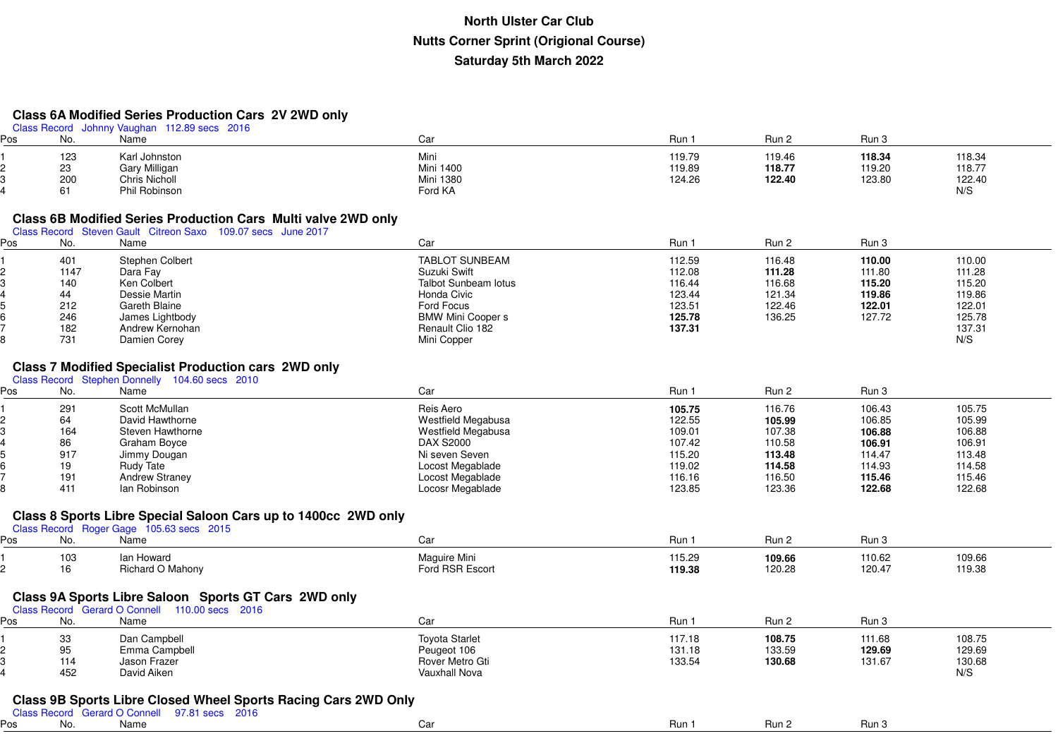#### **Class 6A Modified Series Production Cars 2V 2WD only**

|     |      | Class Record Johnny Vaughan 112.89 secs 2016                   |                                 |        |        |        |        |
|-----|------|----------------------------------------------------------------|---------------------------------|--------|--------|--------|--------|
| Pos | No.  | Name                                                           | Car                             | Run 1  | Run 2  | Run 3  |        |
|     | 123  | Karl Johnston                                                  | Mini                            | 119.79 | 119.46 | 118.34 | 118.34 |
|     | 23   | Gary Milligan                                                  | <b>Mini 1400</b>                | 119.89 | 118.77 | 119.20 | 118.77 |
|     | 200  | Chris Nicholl                                                  | <b>Mini 1380</b>                | 124.26 | 122.40 | 123.80 | 122.40 |
|     | 61   | Phil Robinson                                                  | Ford KA                         |        |        |        | N/S    |
|     |      |                                                                |                                 |        |        |        |        |
|     |      | Class 6B Modified Series Production Cars Multi valve 2WD only  |                                 |        |        |        |        |
|     |      | Class Record Steven Gault Citreon Saxo 109.07 secs June 2017   |                                 |        |        |        |        |
| ∍os | No.  | Name                                                           | Car                             | Run 1  | Run 2  | Run 3  |        |
|     |      |                                                                |                                 |        |        |        |        |
|     | 401  | Stephen Colbert                                                | <b>TABLOT SUNBEAM</b>           | 112.59 | 116.48 | 110.00 | 110.00 |
|     | 1147 | Dara Fay                                                       | Suzuki Swift                    | 112.08 | 111.28 | 111.80 | 111.28 |
|     | 140  | Ken Colbert                                                    | <b>Talbot Sunbeam lotus</b>     | 116.44 | 116.68 | 115.20 | 115.20 |
|     | 44   | Dessie Martin                                                  | Honda Civic                     | 123.44 | 121.34 | 119.86 | 119.86 |
|     | 212  | Gareth Blaine                                                  | Ford Focus                      | 123.51 | 122.46 | 122.01 | 122.01 |
|     | 246  | James Lightbody                                                | <b>BMW Mini Cooper s</b>        | 125.78 | 136.25 | 127.72 | 125.78 |
|     | 182  | Andrew Kernohan                                                | Renault Clio 182                | 137.31 |        |        | 137.31 |
|     | 731  | Damien Corey                                                   | Mini Copper                     |        |        |        | N/S    |
|     |      |                                                                |                                 |        |        |        |        |
|     |      | <b>Class 7 Modified Specialist Production cars 2WD only</b>    |                                 |        |        |        |        |
|     |      | Class Record Stephen Donnelly 104.60 secs 2010                 |                                 |        |        |        |        |
| Pos | No.  | Name                                                           | Car                             | Run 1  | Run 2  | Run 3  |        |
|     | 291  | Scott McMullan                                                 | Reis Aero                       | 105.75 | 116.76 | 106.43 | 105.75 |
|     | 64   | David Hawthorne                                                | Westfield Megabusa              | 122.55 | 105.99 | 106.85 | 105.99 |
|     | 164  | Steven Hawthorne                                               | Westfield Megabusa              | 109.01 | 107.38 | 106.88 | 106.88 |
|     | 86   | Graham Boyce                                                   | <b>DAX S2000</b>                | 107.42 | 110.58 | 106.91 | 106.91 |
|     | 917  | Jimmy Dougan                                                   | Ni seven Seven                  | 115.20 | 113.48 | 114.47 | 113.48 |
|     | 19   | Rudy Tate                                                      | Locost Megablade                | 119.02 | 114.58 | 114.93 | 114.58 |
|     | 191  | <b>Andrew Straney</b>                                          | Locost Megablade                | 116.16 | 116.50 | 115.46 | 115.46 |
|     | 411  | lan Robinson                                                   | Locosr Megablade                | 123.85 | 123.36 | 122.68 | 122.68 |
|     |      |                                                                |                                 |        |        |        |        |
|     |      | Class 8 Sports Libre Special Saloon Cars up to 1400cc 2WD only |                                 |        |        |        |        |
|     |      | Class Record Roger Gage 105.63 secs 2015                       |                                 |        |        |        |        |
| Pos | No.  | Name                                                           | Car                             | Run 1  | Run 2  | Run 3  |        |
|     |      |                                                                |                                 |        |        |        |        |
|     | 103  | lan Howard                                                     | Maguire Mini<br>Ford RSR Escort | 115.29 | 109.66 | 110.62 | 109.66 |
|     | 16   | Richard O Mahony                                               |                                 | 119.38 | 120.28 | 120.47 | 119.38 |
|     |      |                                                                |                                 |        |        |        |        |
|     |      | Class 9A Sports Libre Saloon Sports GT Cars 2WD only           |                                 |        |        |        |        |
|     |      | Class Record Gerard O Connell 110.00 secs 2016                 |                                 |        |        |        |        |
| Pos | No.  | Name                                                           | Car                             | Run 1  | Run 2  | Run 3  |        |
|     | 33   | Dan Campbell                                                   | <b>Toyota Starlet</b>           | 117.18 | 108.75 | 111.68 | 108.75 |
|     | 95   | Emma Campbell                                                  | Peugeot 106                     | 131.18 | 133.59 | 129.69 | 129.69 |
|     | 114  | Jason Frazer                                                   | Rover Metro Gti                 | 133.54 | 130.68 | 131.67 | 130.68 |
|     | 452  | David Aiken                                                    | Vauxhall Nova                   |        |        |        | N/S    |
|     |      |                                                                |                                 |        |        |        |        |
|     |      | Class 9B Sports Libre Closed Wheel Sports Racing Cars 2WD Only |                                 |        |        |        |        |
|     |      | Class Record Gerard O Connell 97.81 secs 2016                  |                                 |        |        |        |        |
| ∍os | No.  | Name                                                           | Car                             | Run 1  | Run 2  | Run 3  |        |
|     |      |                                                                |                                 |        |        |        |        |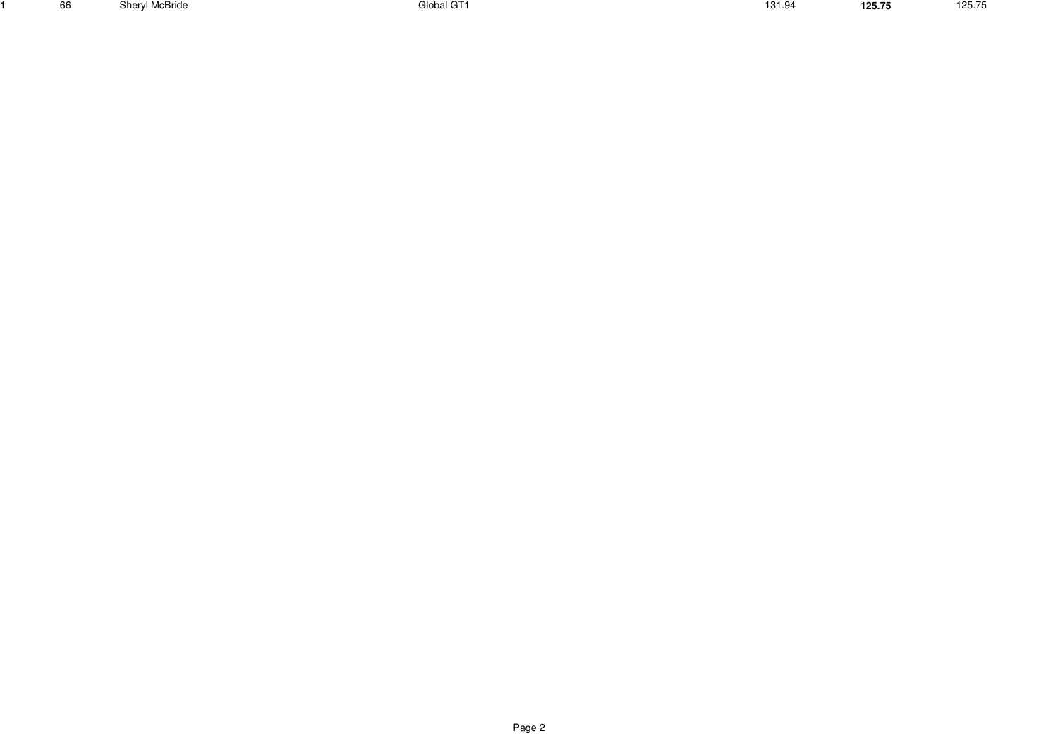<sup>66</sup> Sheryl McBride Global GT1 131.94 **125.75**

1

125.75 125.75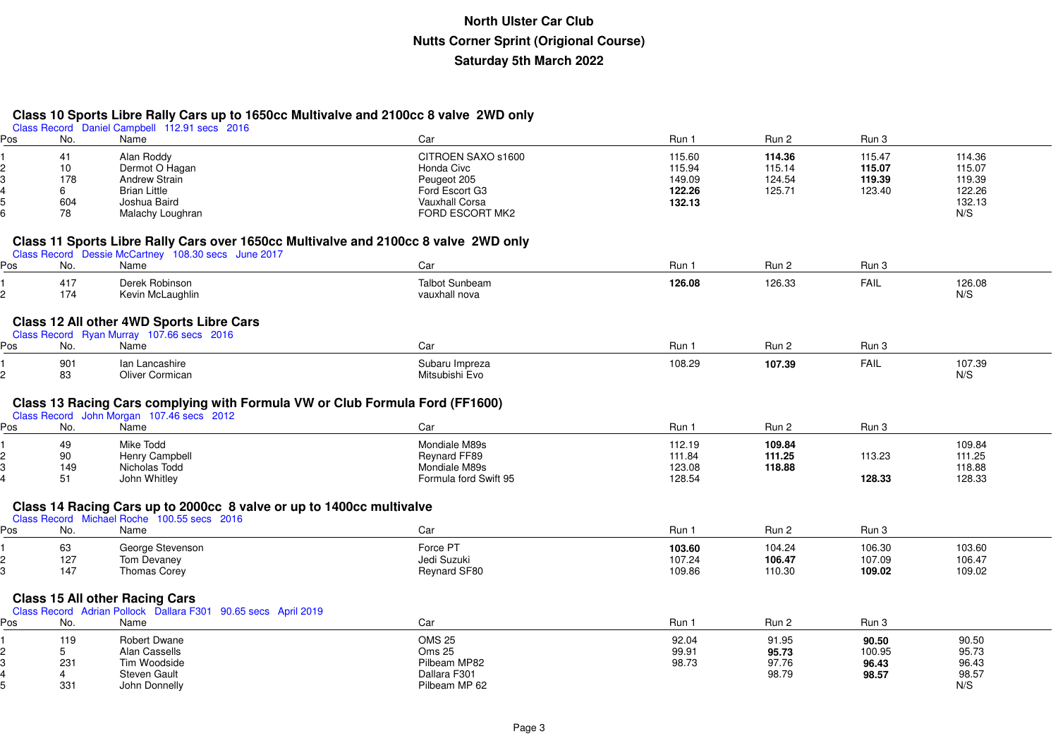#### **Class 10 Sports Libre Rally Cars up to 1650cc Multivalve and 2100cc 8 valve 2WD only**

5

|     |     | Class Record Daniel Campbell 112.91 secs 2016                                       |                       |        |        |             |        |  |
|-----|-----|-------------------------------------------------------------------------------------|-----------------------|--------|--------|-------------|--------|--|
| Pos | No. | Name                                                                                | Car                   | Run 1  | Run 2  | Run 3       |        |  |
|     | 41  | Alan Roddy                                                                          | CITROEN SAXO s1600    | 115.60 | 114.36 | 115.47      | 114.36 |  |
|     | 10  | Dermot O Hagan                                                                      | Honda Civc            | 115.94 | 115.14 | 115.07      | 115.07 |  |
|     | 178 | <b>Andrew Strain</b>                                                                | Peugeot 205           | 149.09 | 124.54 | 119.39      | 119.39 |  |
|     | 6   | <b>Brian Little</b>                                                                 | Ford Escort G3        | 122.26 | 125.71 | 123.40      | 122.26 |  |
|     | 604 | Joshua Baird                                                                        | <b>Vauxhall Corsa</b> | 132.13 |        |             | 132.13 |  |
|     | 78  | Malachy Loughran                                                                    | FORD ESCORT MK2       |        |        |             | N/S    |  |
|     |     |                                                                                     |                       |        |        |             |        |  |
|     |     | Class 11 Sports Libre Rally Cars over 1650cc Multivalve and 2100cc 8 valve 2WD only |                       |        |        |             |        |  |
|     |     | Class Record Dessie McCartney 108.30 secs June 2017                                 |                       |        |        |             |        |  |
| Pos | No. | Name                                                                                | Car                   | Run 1  | Run 2  | Run 3       |        |  |
|     |     |                                                                                     |                       |        |        |             |        |  |
|     | 417 | Derek Robinson                                                                      | <b>Talbot Sunbeam</b> | 126.08 | 126.33 | <b>FAIL</b> | 126.08 |  |
| 2   | 174 | Kevin McLaughlin                                                                    | vauxhall nova         |        |        |             | N/S    |  |
|     |     |                                                                                     |                       |        |        |             |        |  |
|     |     | Class 12 All other 4WD Sports Libre Cars                                            |                       |        |        |             |        |  |
|     |     | Class Record Ryan Murray 107.66 secs 2016                                           |                       |        |        |             |        |  |
| Pos | No. | Name                                                                                | Car                   | Run 1  | Run 2  | Run 3       |        |  |
|     | 901 | Ian Lancashire                                                                      | Subaru Impreza        | 108.29 | 107.39 | <b>FAIL</b> | 107.39 |  |
| 2   | 83  | <b>Oliver Cormican</b>                                                              | Mitsubishi Evo        |        |        |             | N/S    |  |
|     |     |                                                                                     |                       |        |        |             |        |  |
|     |     | Class 13 Racing Cars complying with Formula VW or Club Formula Ford (FF1600)        |                       |        |        |             |        |  |
|     |     | Class Record John Morgan 107.46 secs 2012                                           |                       |        |        |             |        |  |
| Pos | No. | Name                                                                                | Car                   | Run 1  | Run 2  | Run 3       |        |  |
|     |     |                                                                                     |                       |        |        |             |        |  |
|     | 49  | Mike Todd                                                                           | Mondiale M89s         | 112.19 | 109.84 |             | 109.84 |  |
|     | 90  | Henry Campbell                                                                      | Reynard FF89          | 111.84 | 111.25 | 113.23      | 111.25 |  |
| 3   | 149 | Nicholas Todd                                                                       | Mondiale M89s         | 123.08 | 118.88 |             | 118.88 |  |
|     | 51  | John Whitley                                                                        | Formula ford Swift 95 | 128.54 |        | 128.33      | 128.33 |  |
|     |     |                                                                                     |                       |        |        |             |        |  |
|     |     | Class 14 Racing Cars up to 2000cc 8 valve or up to 1400cc multivalve                |                       |        |        |             |        |  |
|     |     | Class Record Michael Roche 100.55 secs 2016                                         |                       |        |        |             |        |  |
| Pos | No. | Name                                                                                | Car                   | Run 1  | Run 2  | Run 3       |        |  |
|     | 63  | George Stevenson                                                                    | Force PT              | 103.60 | 104.24 | 106.30      | 103.60 |  |
| 2   | 127 | Tom Devaney                                                                         | Jedi Suzuki           | 107.24 | 106.47 | 107.09      | 106.47 |  |
|     | 147 | <b>Thomas Corey</b>                                                                 | Reynard SF80          | 109.86 | 110.30 | 109.02      | 109.02 |  |
|     |     |                                                                                     |                       |        |        |             |        |  |
|     |     | <b>Class 15 All other Racing Cars</b>                                               |                       |        |        |             |        |  |
|     |     | Class Record Adrian Pollock Dallara F301 90.65 secs April 2019                      |                       |        |        |             |        |  |
| Pos | No. | Name                                                                                | Car                   | Run 1  | Run 2  | Run 3       |        |  |
|     | 119 | <b>Robert Dwane</b>                                                                 | <b>OMS 25</b>         | 92.04  | 91.95  | 90.50       | 90.50  |  |
|     | 5   | Alan Cassells                                                                       | <b>Oms 25</b>         | 99.91  | 95.73  | 100.95      | 95.73  |  |
| 3   | 231 | Tim Woodside                                                                        | Pilbeam MP82          | 98.73  | 97.76  | 96.43       | 96.43  |  |
|     | 4   | Steven Gault                                                                        | Dallara F301          |        | 98.79  | 98.57       | 98.57  |  |
|     |     |                                                                                     |                       |        |        |             |        |  |

<sup>331</sup> John Donnelly Pilbeam MP 62 N/S